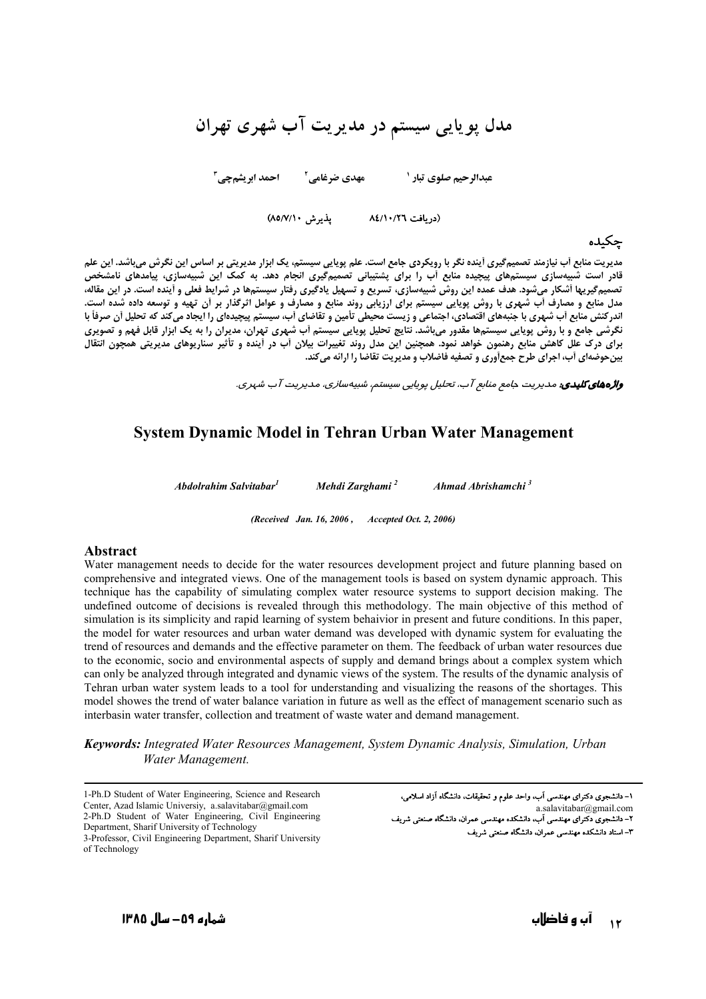# مدل پویایی سیستم در مدیریت آب شهری تهران

 **!"#\$** <sup>F</sup>  **%" \$& ' ) "( \$-!**

(دریافت ۸٤/۱۰/۲٦ - پذیرش ۸۵/۷/۱۰

#### حكىدە

مدیریت منابع أب نیازمند تصمیمگیری أینده نگر با رویکردی جامع است. علم پویایی سیستم، یک ابزار مدیریتی بر اساس این نگرش میباشد. این علم قادر است شبیهسازی سیستمهای پیچیده منابع آب را برای پشتیبانی تصمیم<sup>5</sup>یری انجام دهد. به کمک این شبیهسازی، پیامدهای نامشخص تصمیمگیریها أشکار میشود. هدف عمده این روش شبیهسازی، تسریع و تسهیل یادگیری رفتار سیستمها در شرایط فعلی و أینده است. در این مقاله، مدل منابع و مصارف أب شهري با روش پويايي سيستم براي ارزيابي روند منابع و مصارف و عوامل اثرگذار بر أن تهيه و توسعه داده شده است. اندرکنش منابع أب شهری با جنبههای اقتصادی، اجتماعی و زیست محیطی تأمین و تقاضای أب، سیستم پیچیدهای را ایجاد میکند که تحلیل أن صرفأ با نگرشی جامع و با روش پویایی سیستمها مقدور میباشد. نتایج تحلیل پویایی سیستم آب شهری تهران، مدیران را به یک ابزار قابل فهم و تصویری برای درک علل کاهش منابع رهنمون خواهد نمود. همچنین این مدل روند تغییرات بیلان آب در اینده و تأثیر سناریوهای مدیریتی همچون انتقال **بین حوضهای أب، اجرای طرح جمعأوری و تصفیه فاضلاب و مدیریت تقاضا را ارائه میکند.** 

**واژههای کلیدی:** مدیریت جامع منابع آب، تحلیل پویایی سیستم، شبیهسا*زی*، مدیریت آب شهری.

### **System Dynamic Model in Tehran Urban Water Management**

*Abdolrahim Salvitabar1 Mehdi Zarghami <sup>2</sup> Ahmad Abrishamchi <sup>3</sup>*

*(Received Jan. 16, 2006 , Accepted Oct. 2, 2006)* 

#### **Abstract**

Water management needs to decide for the water resources development project and future planning based on comprehensive and integrated views. One of the management tools is based on system dynamic approach. This technique has the capability of simulating complex water resource systems to support decision making. The undefined outcome of decisions is revealed through this methodology. The main objective of this method of simulation is its simplicity and rapid learning of system behaivior in present and future conditions. In this paper, the model for water resources and urban water demand was developed with dynamic system for evaluating the trend of resources and demands and the effective parameter on them. The feedback of urban water resources due to the economic, socio and environmental aspects of supply and demand brings about a complex system which can only be analyzed through integrated and dynamic views of the system. The results of the dynamic analysis of Tehran urban water system leads to a tool for understanding and visualizing the reasons of the shortages. This model showes the trend of water balance variation in future as well as the effect of management scenario such as interbasin water transfer, collection and treatment of waste water and demand management.

*Keywords: Integrated Water Resources Management, System Dynamic Analysis, Simulation, Urban Water Management.* 

1-Ph.D Student of Water Engineering, Science and Research Center, Azad Islamic Universiy, a.salavitabar@gmail.com 2-Ph.D Student of Water Engineering, Civil Engineering Department, Sharif University of Technology 3-Professor, Civil Engineering Department, Sharif University of Technology

۱– دانشجوی دکترای مهندسی آب، واحد علوم و تحقیقات، دانشگاه آزاد اسلامی، a.salavitabar@gmail.com م<br>۲– دانشجوی دکترای مهندسی آب، دانشکده مهندسی عمران، دانشگاه صنعتی شریف ۳- استاد دانشکده مهندسی عمران، دانشگاه صنعتی شریف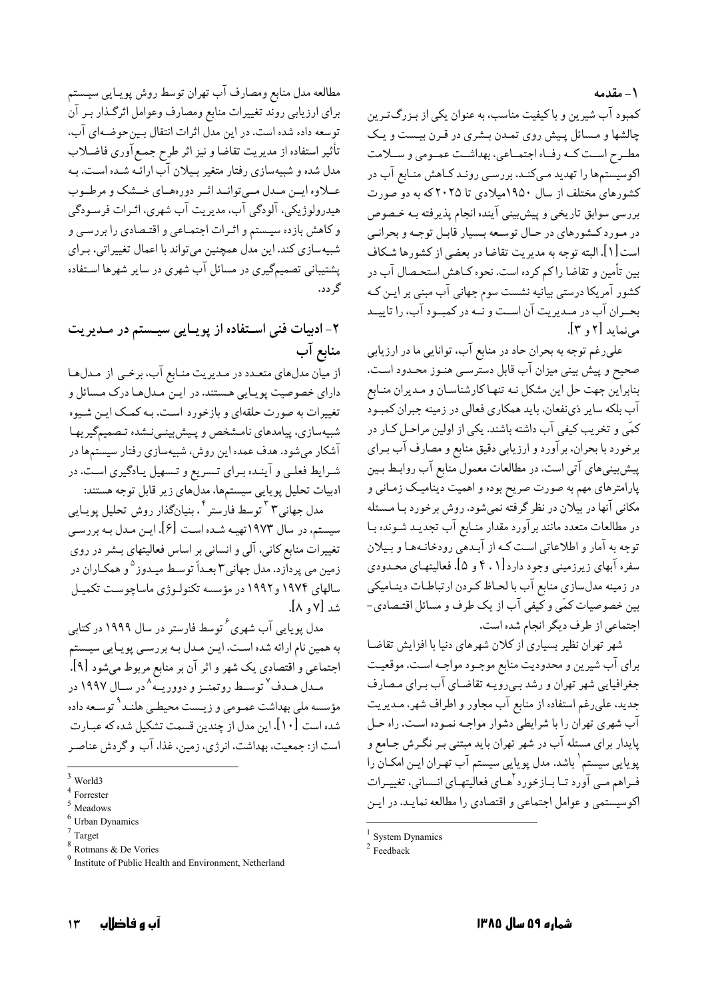۱ – مقدمه

کمبود آب شیرین و با کیفیت مناسب، به عنوان یکی از بـزرگترین چالشها و مسائل پیش روی تمدن بشری در قرن بیست و یک مطـرح اسـت كـه رفـاه اجتمـاعي، بهداشـت عمـومي و ســلامت .<br>اکوسیستمها را تهدید مـیکنـد. بررسـی رونـد کــاهش منــابع آب در کشورهای مختلف از سال ۱۹۵۰میلادی تا ۲۰۲۵که به دو صورت بررسي سوابق تاريخي و پيش بيني آينده انجام پذيرفته بـه خـصوص در مورد کشورهای در حیال توسعه بسیار قابیل توجیه و بحرانبی است [۱]. البته توجه به مديريت تقاضا در بعضي از كشورها شكاف بین تأمین و تقاضا راکم کرده است. نحوه کـاهش استحـصال آب در کشور آمریکا درستی بیانیه نشست سوم جهانی آب مبنی بر ایـن کـه بحـران آب در مـديريت آن اسـت و نـه در كمبـود آب، را تاييــد می نماید [۲ و ۳].

علی رغم توجه به بحران حاد در منابع آب، توانایی ما در ارزیابی صحیح و پیش بینی میزان آب قابل دسترسـی هنـوز محـدود اسـت. بنابراین جهت حل این مشکل نـه تنهـا کارشناسـان و مـدیران منـابع آب بلکه سایر ذی نفعان، باید همکاری فعالی در زمینه جبران کمبود کمّی و تخریب کیفی آب داشته باشند. یکی از اولین مراحـل کـار در برخورد با بحران، برآورد و ارزيابي دقيق منابع و مصارف آب بـراي پیشبینیهای آتی است. در مطالعات معمول منابع آب روابط بـین پارامترهای مهم به صورت صریح بوده و اهمیت دینامیک زمـانی و مکانی آنها در بیلان در نظر گرفته نمیشود. روش برخورد بـا مـسئله در مطالعات متعدد مانند برآورد مقدار منـابع آب تجديـد شـونده بـا توجه به آمار و اطلاعاتی است کـه از آبـدهی رودخانـههـا و بـيلان سفره آبهای زیرزمینی وجود دارد[۰٫۱ و ۵]. فعالیتهـای محـدودی در زمینه مدلسازی منابع آب با لحـاظ کـردن ارتباطـات دینـامیکی بین خصوصیات کمّی و کیفی آب از یک طرف و مسائل اقتـصادی-اجتماعی از طرف دیگر انجام شده است.

شهر تهران نظیر بسیاری از کلان شهرهای دنیا با افزایش تقاضا براي آب شيرين و محدوديت منابع موجـود مواجـه اسـت. موقعيـت جغرافیایی شهر تهران و رشد بمیرویـه تقاضـای آب بـرای مـصارف جدید، علی رغم استفاده از منابع آب مجاور و اطراف شهر، مـدیریت آب شهري تهران را با شرايطي دشوار مواجـه نمـوده اسـت. راه حـل پایدار برای مسئله آب در شهر تهران باید مبتنی بـر نگـرش جـامع و یویایی سیستم <sup>۱</sup> باشد. مدل یویایی سیستم آب تهـران ایــن امکــان را فـراهم مـي آورد تـا بـازخورد <sup>ا</sup>هـاي فعاليتهـاي انـساني، تغييـرات اکوسیستمی و عوامل اجتماعی و اقتصادی را مطالعه نمایید. در ایین

مطالعه مدل منابع ومصارف آب تهران توسط روش پويـايي سيـستم برای ارزیابی روند تغییرات منابع ومصارف وعوامل اثرگذار بـر آن توسعه داده شده است. در این مدل اثرات انتقال بین حوضهای آب، تأثير استفاده از مديريت تقاضا و نيز اثر طرح جمع آوري فاضـلاب مدل شده و شبیهسازی رفتار متغیر بـیلان آب ارائـه شـده اسـت. بـه عــلاوه ايــن مــدل مــي توانــد اثــر دورههــاي خــشک و مرطــوب هیدرولوژیکی، آلودگی آب، مدیریت آب شهری، اثـرات فرسـودگی و کاهش بازده سیستم و اثـرات اجتمـاعی و اقتـصادی را بررسـی و شبیهسازی کند. این مدل همچنین میتواند با اعمال تغییراتی، بـرای پشتیبانی تصمیمگیری در مسائل آب شهری در سایر شهرها استفاده گر دد.

## ۲– ادبیات فنی اسـتفاده از پویــایی سیــستم در مــدیریت منابع آب

از میان مدلهای متعـدد در مـدیریت منـابع آب، برخـی از مـدلهـا دارای خصوصیت پویـایی هـستند. در ایـن مـدلهـا درک مـسائل و تغییرات به صورت حلقهای و بازخورد است. بـه کمـک ایـن شـیوه شبیهسازی، پیامدهای نامشخص و پیشبینی نشده تصمیمگیریها .<br>آشکار میشود. هدف عمده این روش، شبیهسازی رفتار سیستمها در شـرايط فعلـي و آينـده بـراي تـسريع و تـسهيل يـادگيري اسـت. در ادبیات تحلیل یو پایی سیستمها، مدلّهای زیر قابل توجه هستند:

مدل جهانی۳ توسط فارستر ` . بنیانگذار روش تحلیل یویـایی سیستم، در سال ۱۹۷۳تهیـه شـده اسـت [۶]. ایـن مـدل بـه بررسـی تغییرات منابع کانی، آلی و انسانی بر اساس فعالیتهای بـشر در روی زمین می پردازد. مدل جهانی۳ بعـداً توسـط میـدوز<sup>۵</sup>و همکـاران در سالهای ۱۹۷۴ و ۱۹۹۲ در مؤسسه تکنولـوژي ماساچوست تکميـل شد [۷ ه. ۸].

مدل پویایی آب شهری<sup>۶</sup> توسط فارستر در سال ۱۹۹۹ در کتابی به همین نام ارائه شده است. ایـن مـدل بـه بررسـی پویـایی سیـستم اجتماعی و اقتصادی یک شهر و اثر آن بر منابع مربوط میشود [۹]. مـدل هـدف<sup>٧</sup> توسـط روتمنــز و دووریــه^در ســال ۱۹۹۷ در مؤسسه ملي بهداشت عمـومي و زيـست محيطـي هلنـد<sup>۹</sup> توسـعه داده شده است [۱۰]. این مدل از چندین قسمت تشکیل شده که عبـارت است از: جمعیت، بهداشت، انرژی، زمین، غذا، آب و گردش عناصر

 $1$  System Dynamics

 $2$  Feedback

World3

Eorrester

Meadows

Urban Dynamics

Target

<sup>&</sup>lt;sup>8</sup> Rotmans & De Vories

<sup>&</sup>lt;sup>9</sup> Institute of Public Health and Environment, Netherland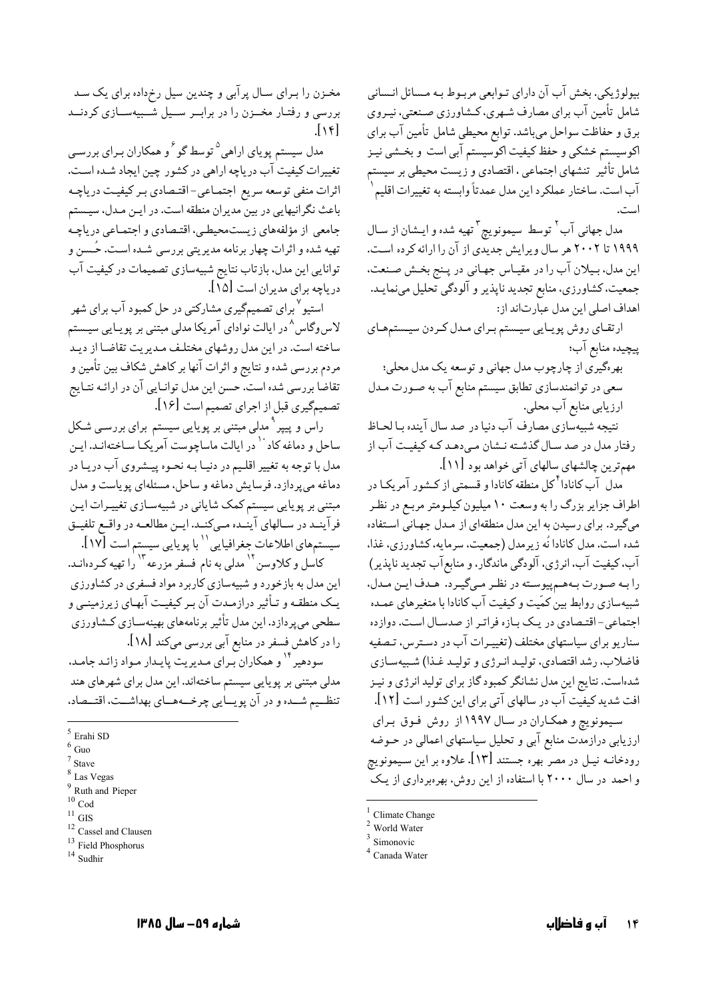بیولوژیکی. بخش آب آن دارای تـوابعی مربـوط بـه مـسائل انـسانی شامل تأمین آب برای مصارف شـهری، کـشاورزی صـنعتی، نیـروی برق و حفاظت سواحل میباشد. توابع محیطی شامل تأمین آب برای اکوسیستم خشکی و حفظ کیفیت اکوسیستم آبی است و بخـشی نیـز شامل تأثیر تنشهای اجتماعی ، اقتصادی و زیست محیطی بر سیستم اّب است. ساختار عملكرد اين مدل عمدتاً وابسته به تغييرات اقليم ٰ

مدل جهاني آب<sup>٢</sup> توسط سيمونويچ <sup>٣</sup>تهيه شده و ايـشان از سـال ۱۹۹۹ تا ۲۰۰۲ هر سال ویرایش جدیدی از آن را ارائه کرده است. اين مدل، بـيلان آب را در مقيـاس جهـاني در پـنج بخـش صـنعت، جمعیت، کشاورزی، منابع تجدید ناپذیر و آلودگی تحلیل مینمایـد. اهداف اصلی این مدل عبارتاند از:

ارتقای روش پویایی سیستم برای مدل کردن سیستمهای ييچيده منابع آب؛

بهرهگیری از چارچوب مدل جهانی و توسعه یک مدل محلی: سعی در توانمندسازی تطابق سیستم منابع آب به صـورت مـدل ارزيابي منابع آب محلي.

نتيجه شبيهسازي مصارف آب دنيا در صد سال آينده بـا لحـاظ رفتار مدل در صد سـال گذشـته نـشان مـی،دهـد کـه کیفیـت آب از مهم ترين چالشهاي سالهاي آتي خواهد بود [١١].

ِ مدل آب کانادا<sup>۴</sup>کل منطقه کانادا و قسمتی از کـشور آمریکـا در اطراف جزایر بزرگ را به وسعت ۱۰ میلیون کیلـومتر مربـع در نظـر میگیرد. برای رسیدن به این مدل منطقهای از مـدل جهـانی اسـتفاده شده است. مدل کانادا نُه زيرمدل (جمعيت، سرمايه، کشاورزي، غذا، آب، کیفیت آب، انرژی، آلودگی ماندگار، و منابع آب تجدید نایذیر) را به صورت به هم پیوسته در نظر میگیرد. هـدف ایـن مـدل، شبیهسازی روابط بین کمّیت و کیفیت آب کانادا با متغیرهای عمـده اجتماعی-اقتصادی در یک بازه فراتر از صدسال است. دوازده سناریو برای سیاستهای مختلف (تغییـرات آب در دسـترس، تـصفیه فاضلاب، رشد اقتصادي، توليد انرژي و توليد غذا) شبيهسازي شدهاست. نتایج این مدل نشانگر کمبود گاز برای تولید انرژی و نیـز افت شدید کیفیت آب در سالهای آتی برای این کشور است [۱۲]. سیمونویچ و همکـاران در سـال ۱۹۹۷از روش فـوق بـرای ارزیابی درازمدت منابع آبی و تحلیل سیاستهای اعمالی در حـوضه رودخانـه نيـل در مصر بهره جستند [١٣]. علاوه بر اين سـيمونو پج و احمد در سال ۲۰۰۰ با استفاده از این روش، بهرهبرداری از یک

مخـزن را بـرای سـال پرآبی و چندین سیل رخرداده برای یک سـد بررسی و رفتار مخــزن را در برابــر ســیل شــبیهســازی کردنــد  $\lfloor \sqrt{\epsilon} \rfloor$ 

مدل سیستم پویای اراهی<sup>۵</sup> توسط گو<sup>۶</sup>و همکاران بـرای بررسـی تغییرات کیفیت آب دریاچه اراهی در کشور چین ایجاد شـده اسـت. اثرات منفي توسعه سريع اجتمـاعي-اقتـصادي بـر كيفيـت درياچـه باعث نگرانیهایی در بین مدیران منطقه است. در ایـن مـدل، سیـستم جامعي از مؤلفههاي زيستمحيطي، اقتـصادي و اجتمـاعي درياچـه تهیه شده و اثرات چهار برنامه مدیریتی بررسی شـده اسـت. حُـسن و توانایی این مدل، بازتاب نتایج شبیهسازی تصمیمات در کیفیت آب درياچه براي مديران است [١۵].

استیو <sup>۷</sup> برای تصمیمگیری مشارکتی در حل کمبود آب برای شهر لاس وگاس<sup>^</sup> در ایالت نوادای آمریکا مدلی مبتنی بر پویـایی سیـستم .<br>ساخته است. در این مدل روشهای مختلـف مـدیریت تقاضـا از دیـد مردم بررسی شده و نتایج و اثرات آنها بر کاهش شکاف بین تأمین و تقاضاً بررسی شده است. حسن این مدل توانـایی آن در ارائـه نتـایج تصميم گيري قبل از اجراي تصميم است [1۶].

راس و پیپر<sup>۹</sup> مدلی مبتنی بر پویایی سیستم برای بررســی شـکل ساحل و دماغه کاد `` در ایالت ماساچوست آمریکـا سـاختهانـد. ایـن مدل با توجه به تغییر اقلـیم در دنیـا بـه نحـوه پیـشروی آب دریـا در دماغه میپردازد. فرسایش دماغه و ساحل، مسئلهای پویاست و مدل مبتنی بر یوپایی سیستم کمک شایانی در شبیهسـازی تغییـرات ایـن فرآینـد در سـالهای آینـده مـیکنـد. ایـن مطالعـه در واقـع تلفیـق سیستمهای اطلاعات جغرافیایی `` با پویایی سیستم است [۱۷].

کاسل و کلاوسن <sup>۱۲</sup> مدلی به نام فسفر مزرعه <sup>۱۳</sup> را تهیه کـردهانـد. این مدل به بازخورد و شبیهسازی کاربرد مواد فسفری در کشاورزی یـک منطقـه و تـأثیر درازمـدت آن بـر کیفیـت آبهـای زیرزمینـی و سطحی میپردازد. این مدل تأثیر برنامههای بهینهسـازی کـشاورزی را در کاهش فسفر در منابع آبی بررسی میکند [۱۸].

سودهیر<sup>۱۲</sup> و همکاران بـرای مـدیریت یایـدار مـواد زائـد جامـد، مدلی مبتنی بر یوپایی سیستم ساختهاند. این مدل برای شهرهای هند تنظــيم شــده و در آن يويــايي چرخــههــاي بهداشــت، اقتــصاد،

Climate Change

World Water

Simonovic

Canada Water

 $5$  Erahi SD

 $6$  Guo

 $\frac{7}{1}$  Stave

 $8$  Las Vegas

<sup>&</sup>lt;sup>9</sup> Ruth and Pieper

 $10$  Cod

 $11$  GIS

 $12$  Cassel and Clausen  $^{13}$  Field Phosphorus

 $14$  Sudhir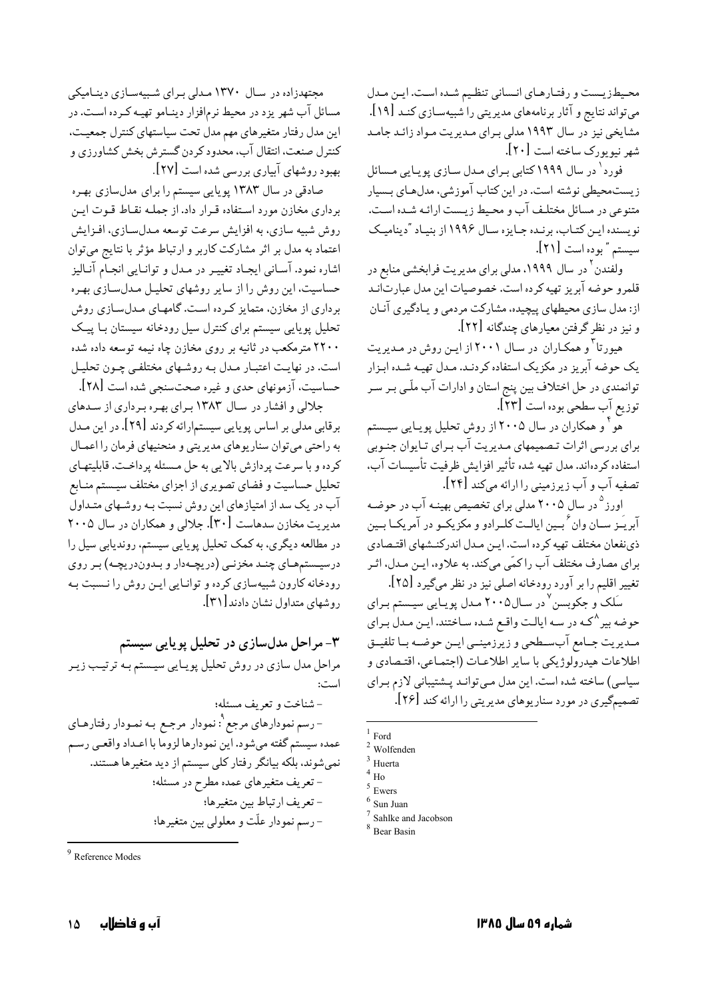محيطزيست و رفتارهاي انساني تنظيم شده است. اين مدل می تواند نتایج و آثار برنامههای مدیریتی را شبیهسازی کنـد [۱۹]. مشایخی نیز در سال ۱۹۹۳ مدلی بـرای مـدیریت مـواد زائـد جامـد شهر نيو يورک ساخته است [٢٠].

فورد` در سال ۱۹۹۹ کتابی بـرای مـدل سـازی پویـایی مـسائل زیستمحیطی نوشته است. در این کتاب آموزشی، مدلهای بـسیار متنوعي در مسائل مختلف آب و محيط زيست ارائـه شـده اسـت. نویسنده این کتـاب، برنـده جـایزه سـال ۱۹۹۶ از بنیـاد "دینامیـک سيستم "بوده است [٢١].

ولفندن<sup>۲</sup> در سال ۱۹۹۹، مدلی برای مدیریت فرابخشی منابع در قلمرو حوضه آبريز تهيه كرده است. خصوصيات اين مدل عبارتانـد از: مدل سازی محیطهای پیچیده، مشارکت مردمی و پـادگیری آنـان و نیز در نظر گرفتن معیارهای چندگانه [۲۲].

هیورتا<sup>۳</sup> و همکـاران در سـال ۲۰۰۱ از ایـن روش در مـدیریت یک حوضه آبریز در مکزیک استفاده کردنـد. مـدل تهیـه شـده ابـزار توانمندي در حل اختلاف بين پنج استان و ادارات آب ملّـي بـر سـر توزيع آب سطحي بوده است [٢٣].

.<br>هو <sup>۱</sup> و همکاران در سال ۲۰۰۵ از روش تحلیل پویـایی سیـستم برای بررسی اثرات تصمیمهای مدیریت آب بـرای تـایوان جنـوبی استفاده كردهاند. مدل تهيه شده تأثير افزايش ظرفيت تأسيسات آب. تصفيه آب و آب زيرزميني را ارائه ميكند [٢۴].

اورز<sup>۵</sup> در سال ۲۰۰۵ مدلی برای تخصیص بهینـه آب در حوضـه آبریَـز سـان وان ٔ بـین ایالـت کلـرادو و مکزیکـو در آمریکـا بـین ذي نفعان مختلف تهيه كرده است. ايـن مـدل اندركنـشهاي اقتـصادي برای مصارف مختلف آب را کمّی میکند. به علاوه، ایـن مـدل، اثـر تغییر اقلیم را بر آورد رودخانه اصلی نیز در نظر میگیرد [۲۵].

سَلک و جکوبسن <sup>۷</sup>در سـال۲۰۰۵ مـدل پویـایی سیـستم بـرای حوضه بیر ^کـه در سـه ایالـت واقـع شـده سـاختند. ایـن مـدل بـرای مبديريت جبامع آب سبطحي و زيرزمينسي ايسن حوضيه بنا تلفيتق اطلاعات هيدرولوژيكي با ساير اطلاعـات (اجتمـاعي، اقتـصادي و سیاسی) ساخته شده است. این مدل مبی توانـد پــشتیبانی لازم بـرای تصمیمگیری در مورد سناریوهای مدیریتی را ارائه کند [۲۶].

 $1$  Ford

مجتهدزاده در سـال ۱۳۷۰ مـدلی بـرای شـبیهسـازی دینـامیکی مسائل آب شهر یزد در محیط نرمافزار دینـامو تهیـه کـرده اسـت. در این مدل رفتار متغیرهای مهم مدل تحت سیاستهای کنترل جمعیت، كنترل صنعت، انتقال آب، محدود كردن گسترش بخش كشاورزي و بهبود روشهای آبیاری بررسی شده است [۲۷].

صادقی در سال ۱۳۸۳ پویایی سیستم را برای مدلسازی بهره برداری مخازن مورد استفاده قـرار داد. از جملـه نقـاط قـوت ايـن روش شبيه سازي، به افزايش سرعت توسعه مـدلسـازي، افـزايش اعتماد به مدل بر اثر مشارکت کاربر و ارتباط مؤثر با نتایج میتوان اشاره نمود. آسـاني ايجـاد تغييـر در مـدل و توانـايي انجــام آنــاليز حساسیت، این روش را از سایر روشهای تحلیـل مـدلسـازی بهـره برداری از مخازن، متمایز کرده است. گامهـای مـدلسـازی روش تحلیل یوپایی سیستم برای کنترل سیل رودخانه سیستان بـا پیـک ۲۲۰۰ مترمکعب در ثانیه بر روی مخازن چاه نیمه توسعه داده شده است. در نهایت اعتبـار مـدل بـه روشـهای مختلفـی چـون تحلیـل حساسیت، آزمونهای حدی و غیره صحتسنجی شده است [۲۸].

جلالی و افشار در سال ۱۳۸۳ برای بهره برداری از سدهای برقابی مدلی بر اساس پویایی سیستمارائه کردند [۲۹]. در این مـدل به راحتی می توان سناریوهای مدیریتی و منحنیهای فرمان را اعمـال كرده و با سرعت پردازش بالايي به حل مـسئله پرداخـت. قابليتهـاي تحلیل حساسیت و فضای تصویری از اجزای مختلف سیستم منـابع آب در یک سد از امتیازهای این روش نسبت بـه روشـهای متـداول مدیریت مخازن سدهاست [۳۰]. جلالی و همکاران در سال ۲۰۰۵ در مطالعه دیگری، به کمک تحلیل یوپایی سیستم، روندیابی سیل را درسیستمهای چنـد مخزنـی (دریچـهدار و بـدوندریچـه) بـر روی رودخانه کارون شبیهسازی کرده و توانایی این روش را نـسبت بـه روشهای متداول نشان دادند [۳۱].

۳- مراحل مدلسازی در تحلیل پویایی سیستم مراحل مدل سازی در روش تحلیل پویایی سیستم بـه ترتیـب زیـر است: - شناخت و تعريف مسئله؛ – رسم نمودارهای مرجع <sup>۹</sup>: نمودار مرجـع بـه نمـودار رفتارهـای عمده سيستم گفته مىشود. اين نمودارها لزوما با اعـداد واقعـي رسـم نمی شوند، بلکه بیانگر رفتار کلی سیستم از دید متغیرها هستند. - تعریف متغیرهای عمده مطرح در مسئله؛ - تعريف ارتباط بين متغيرها؛

- رسم نمودار علّت و معلولي بين متغيرها؛

Wolfenden

Huerta

 $H_0$ 

Ewers

Sun Iuan

 $^7$  Sahlke and Jacobson

<sup>&</sup>lt;sup>8</sup> Bear Basin

 $9$  Reference Modes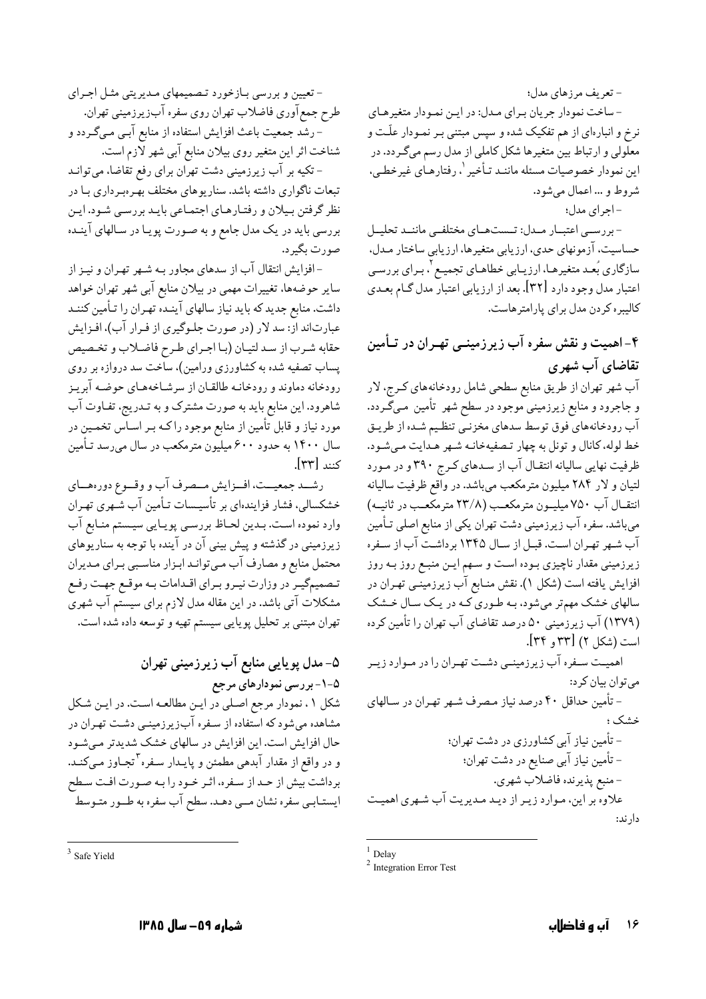– تعریف مرزهای مدل؛

- ساخت نمودار جريان براي مدل: در اين نمودار متغيرهاي نرخ و انبارهای از هم تفکیک شده و سپس مبتنی بـر نمـودار علّـت و معلولی و ارتباط بین متغیرها شکل کاملی از مدل رسم میگردد. در این نمودار خصوصیات مسئله ماننـد تـأخیر <sup>۱</sup>، رفتارهـای غیرخطـی، شروط و ... اعمال مىشود.

-اجراي مدل؛

- بررســي اعتبــار مــدل: تــستهــاي مختلفــي ماننــد تحليــل حساسیت، آزمونهای حدی، ارزیابی متغیرها، ارزیابی ساختار مـدل، سازگاری بُعـد متغیرهـا، ارزیـابی خطاهـای تجمیـع <sup>۲</sup>، بـرای بررسـی اعتبار مدل وجود دارد [۳۲]. بعد از ارزيابي اعتبار مدل گـام بعـدي کالیبره کردن مدل برای پارامتر هاست.

# ۴-اهمیت و نقش سفره آب زیرزمینــی تهـران در تـأمین تقاضای آب شهری

آب شهر تهران از طریق منابع سطحی شامل رودخانههای کـرج، لار و جاجرود و منابع زیرزمینی موجود در سطح شهر تأمین مـیگـردد. آب رودخانههای ّفوق توسط سدهای مخزنـّی تنظـیم شـده از طریـق خط لوله، كانال و تونل به چهار تصفيهخانـه شـهر هـدايت مـىشـود. ظرفیت نهایی سالیانه انتقال آب از سدهای کرج ۳۹۰ و در مورد لتیان و لار ۲۸۴ میلیون مترمکعب میباشد. در واقع ظرفیت سالیانه انتقال آب ۷۵۰ میلیون مترمکعب (۲۳/۸ مترمکعب در ثانیـه) میباشد. سفره آب زیرزمینی دشت تهران یکی از منابع اصلی تـأمین آب شـهر تهـران اسـت. قبـل از سـال ۱۳۴۵ برداشـت آب از سـفره زیرزمینی مقدار ناچیزی بـوده اسـت و سـهم ایـن منبـع روز بـه روز افزایش یافته است (شکل ۱). نقش منـابع آب زیرزمینـی تهـران در سالهای خشک مهمتر میشود، بـه طـوری کـه در يـک سـال خـشک (۱۳۷۹) آب زیرزمینی ۵۰ درصد تقاضای آب تهران را تأمین کرده است (شکل ۲) [۳۳ و ۳۴].

اهمیـت سـفره آب زیرزمینـی دشـت تهـران را در مـوارد زیـر مي توان بيان كرد: - تأمین حداقل ۴۰ درصد نیاز مـصرف شـهر تهـران در سـالهای خشک؛ - تأمین نیاز آبی کشاورزی در دشت تهران؛ - تأمين نياز آبي صنايع در دشت تهران؛ -منبع پذيرنده فاضلاب شهري. علاوه بر این، مـوارد زیـر از دیـد مـدیریت آب شـهری اهمیـت دار ند:

 $1$  Delay

- تعیین و بررسی بـازخورد تـصمیمهای مـدیریتی مثـل اجـرای طرح جمع آوري فاضلاب تهران روي سفره آبزيرزميني تهران. - رشد جمعیت باعث افزایش استفاده از منابع آبـی مـیگـردد و شناخت اثر این متغیر روی بیلان منابع آبی شهر لازم است.

– تکیه بر آب زیرزمینی دشت تهران برای رفع تقاضا، میتوانـد تبعات ناگواری داشته باشد. سناریوهای مختلف بهـرهبـرداری بـا در نظر گرفتن بیلان و رفتارهای اجتماعی بایـد بررسـی شـود. ایـن بررسی باید در یک مدل جامع و به صـورت پویـا در سـالهای آینـده صورت یگیر د.

-افزایش انتقال آب از سدهای مجاور بـه شـهر تهـران و نیـز از سایر حوضهها، تغییرات مهمی در بیلان منابع آبی شهر تهران خواهد داشت. منابع جدید که باید نیاز سالهای آینـده تهـران را تـأمین کننـد عبارتاند از: سد لار (در صورت جلـوگیری از فـرار آب)، افـزایش حقابه شرب از سد لتيـان (بـا اجـراي طـرح فاضـلاب و تخـصيص پساب تصفیه شده به کشاورزی ورامین)، ساخت سد دروازه بر روی رودخانه دماوند و رودخانـه طالقـان از سرشـاخههـاي حوضـه آبريـز شاهرود. این منابع باید به صورت مشترک و به تـدریج، تفـاوت آب مورد نیاز و قابل تأمین از منابع موجود راکـه بـر اسـاس تخمـین در سال ۱۴۰۰ به حدود ۶۰۰ میلیون مترمکعب در سال میرسد تـأمین كنند [٣٣].

رشــد جمعيــت، افــزايش مــصرف آب و وقــوع دورههــاي خشکسالی، فشار فزایندهای بر تأسیـسات تـأمین آب شـهری تهـران وارد نموده است. بـدين لحـاظ بررسـي پويـايي سيـستم منـابع آب زیرزمینی در گذشته و پیش بینی آن در آینده با توجه به سناریوهای محتمل منابع و مصارف آب مـيتوانـد ابـزار مناسـبي بـراي مـديران تـصميمگيـر در وزارت نيـرو بـراي اقـدامات بـه موقـع جهـت رفـع مشکلات آتی باشد. در این مقاله مدل لازم برای سیستم آب شهری تهران مبتنبي بر تحليل پويايي سيستم تهيه و توسعه داده شده است.

۵- مدل پویایی منابع آب زیرزمینی تهران ۵-۱-بررسی نمودارهای مرجع شکل ۰۱ نمودار مرجع اصلی در ایـن مطالعـه اسـت. در ایـن شـکل مشاهده میشود که استفاده از سـفره آبزیرزمینـی دشـت تهـران در حال افزایش است. این افزایش در سالهای خشک شدیدتر میشود و در واقع از مقدار آبدهی مطمئن و پایـدار سـفره<sup>۳</sup>تجـاوز مـیکنـد. برداشت بیش از حـد از سـفره، اثـر خـود را بـه صـورت افـت سـطح ایستـابـی سفره نشان مــی دهـد. سطح آب سفره به طــور متـوسط

 $2$  Integration Error Test

 $3$  Safe Vield

شماره ۵۹– سال ۱۳۸۵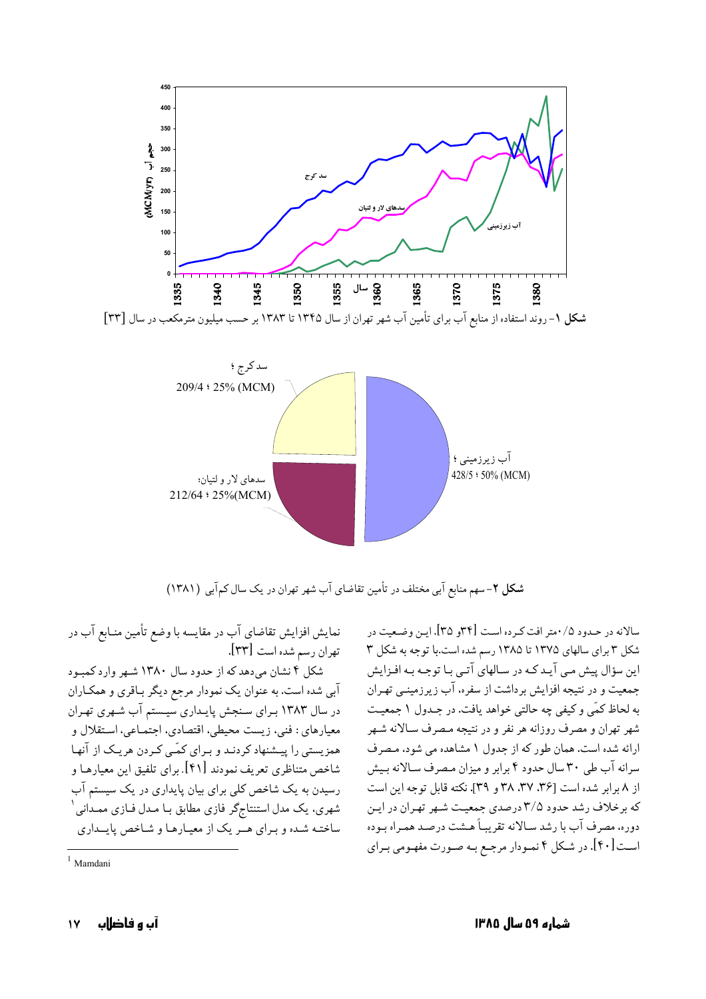

شکل ۲- سهم منابع آبی مختلف در تأمین تقاضای آب شهر تهران در یک سال کم آبی (۱۳۸۱)

نمایش افزایش تقاضای آب در مقایسه با وضع تأمین منـابع آب در تهران رسم شده است [٣٣].

شکل ۴ نشان میدهد که از حدود سال ۱۳۸۰ شـهر وارد کمبـود آبی شده است. به عنوان یک نمودار مرجع دیگر بـاقری و همکـاران در سال ۱۳۸۳ برای سنجش پایداری سیستم آب شهری تهران معيارهاي : فني، زيست محيطي، اقتصادي، اجتمـاعي، اسـتقلال و همزیستی را پیشنهاد کردنـد و بـرای کمّـی کـردن هریـک از آنهـا شاخص متناظري تعريف نمودند [۴۱]. براي تلفيق اين معيارهـا و رسیدن به یک شاخص کلی برای بیان پایداری در یک سیستم آب شهری، یک مدل استنتاجگر فازی مطابق بـا مـدل فـازی ممـدانی ٰ ساخته شده و بیرای هیر یک از معیارها و شاخص پایسداری

سالانه در حـدود ۰/۵متر افت کـرده اسـت [۳۴و ۳۵]. ايـن وضـعيت در شکل ۳ برای سالهای ۱۳۷۵ تا ۱۳۸۵ رسم شده است.با توجه به شکل ۳ این سؤال پیش مبی آیـد کـه در سـالهای آتـی بـا توجـه بـه افـزایش جمعیت و در نتیجه افزایش برداشت از سفره، آب زیرزمینـی تهـران به لحاظ کمّی و کیفی چه حالتی خواهد یافت. در جـدول ۱ جمعیـت شهر تهران و مصرف روزانه هر نفر و در نتیجه مـصرف سـالانه شـهر ارائه شده است. همان طور که از جدول ۱ مشاهده می شود، مصرف سرانه آب طی ۳۰ سال حدود ۴ برابر و میزان مصرف سـالانه بـیش از ۸ برابر شده است (۳۶، ۳۷، ۳۸ و ۳۹]. نکته قابل توجه این است که برخلاف رشد حدود ۳/۵ درصدي جمعيت شـهر تهـران در ايـن دوره، مصرف آب با رشد سـالانه تقريبـاً هـشت درصـد همـراه بـوده است [۴۰]. در شکل ۴ نمـودار مرجـع بـه صـورت مفهـومي بـراي

 $1$  Mamdani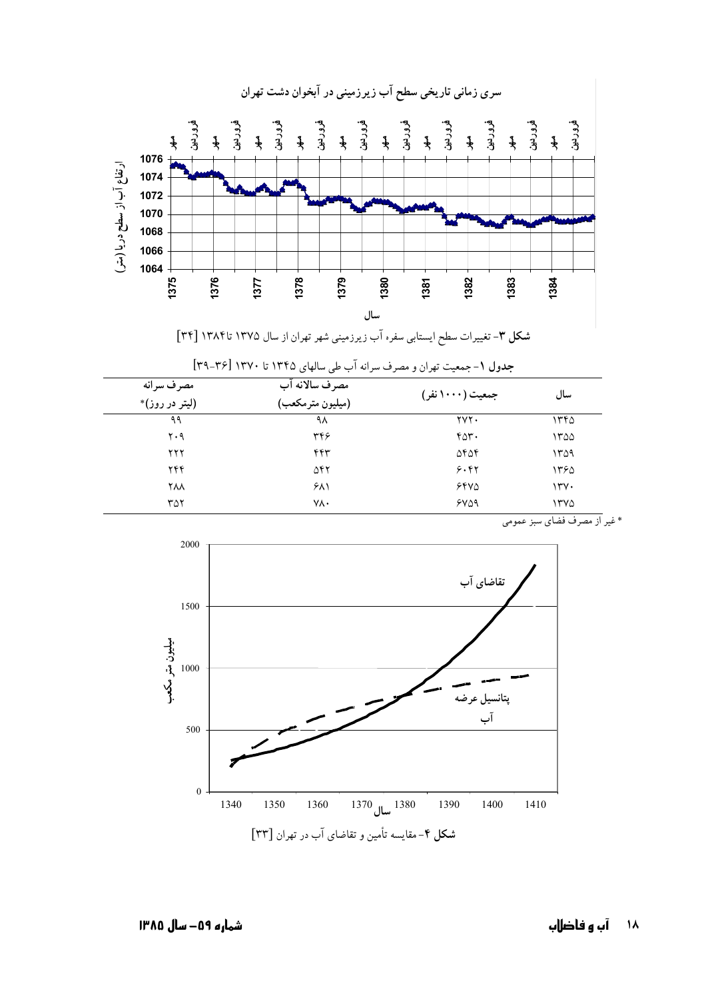



| مصرف سرانه<br>(ليتر در روز)* | مصرف سالانه آب<br>(میلیون مترمکعب) | جمعیت (۱۰۰۰ نفر) | سال  |
|------------------------------|------------------------------------|------------------|------|
|                              |                                    |                  |      |
| ۲۰۹                          | ۳۴۶                                | ۴۵۳۰             | ۱۳۵۵ |
| ۲۲۲                          | ۴۴۳                                | ۵۴۵۴             | ۱۳۵۹ |
| ۲۴۴                          | ۵۴۲                                | 5.87             | ۱۳۶۵ |
| <b>YAA</b>                   | $5\lambda$                         | 5800             | ۱۳۷۰ |
| ۳۵۲                          | ٧٨٠                                | 5409             | ۱۳۷۵ |





\* غير از مصرف فضاي سبز عمومي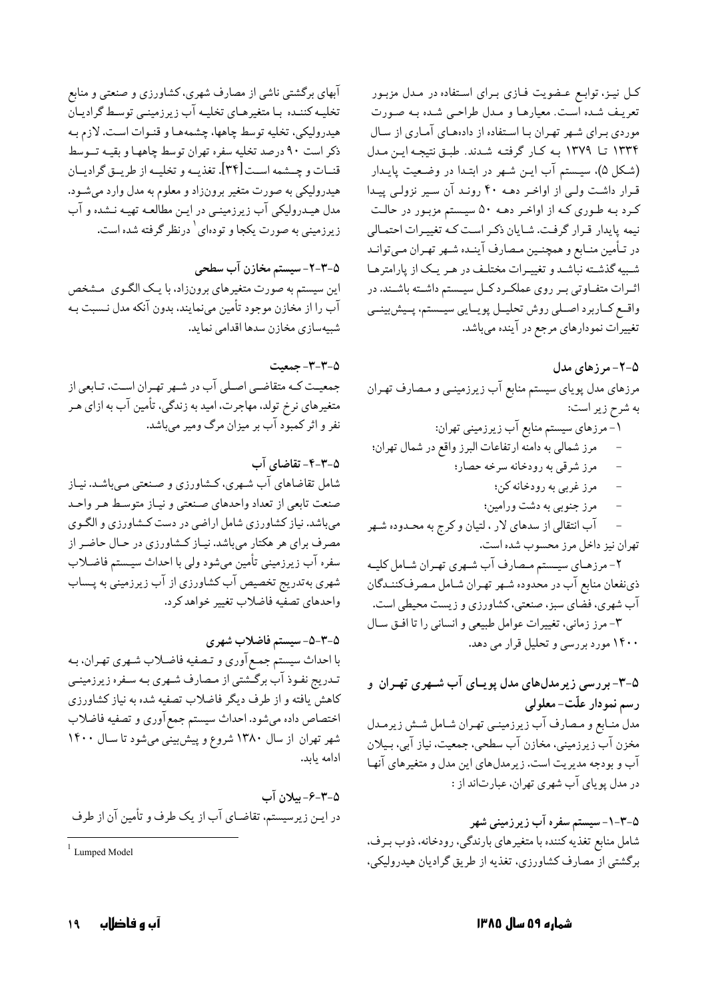آبهای برگشتی ناشی از مصارف شهری، کشاورزی و صنعتی و منابع تخلیـه کننـده بـا متغیرهـاي تخلیـه آب زيرزمينـي توسـط گراديـان هیدرولیکی، تخلیه توسط چاهها، چشمههـا و قنـوات اسـت. لازم بـه ذکر است ۹۰ درصد تخلیه سفره تهران توسط چاههـا و بقیـه تــوسط قنــات و چــشمه اســت[۳۴]. تغذيــه و تخليــه از طريــق گراديــان هیدرولیکی به صورت متغیر برونزاد و معلوم به مدل وارد میشـود. مدل هیـدرولیکی آب زیرزمینـی در ایـن مطالعـه تهیـه نـشده و آب زیرزمینی به صورت یکجا و تودهای <sup>۱</sup> درنظر گرفته شده است.

#### ۵-۳-۲- سیستم مخازن آب سطحی

این سیستم به صورت متغیرهای برونزاد، با یـک الگـوی مـشخص آب را از مخازن موجود تأمین مینمایند، بدون آنکه مدل نـسبت بـه شبيهسازي مخازن سدها اقدامي نمايد.

۰۳-۳- جمعیت جمعیت کـه متقاضـي اصـلي آب در شـهر تهـران اسـت، تـابعي از متغیرهای نرخ تولد، مهاجرت، امید به زندگی، تأمین آب به ازای هـر نفر و اثر کمبود آب بر میزان مرگ ومیر میباشد.

۰۵–۴–۴– تقاضای آب شامل تقاضاهای آب شـهری، کـشاورزی و صـنعتبی مـیباشـد. نیـاز صنعت تابعي از تعداد واحدهاي صنعتي و نيـاز متوسـط هـر واحـد میباشد. نیاز کشاورزی شامل اراضی در دست کـشاورزی و الگـوی مصرف برای هر هکتار میباشد. نیـاز کـشاورزی در حـال حاضـر از سفره آب زیرزمینی تأمین میشود ولی با احداث سیستم فاضـلاب شهری بهتدریج تخصیص آب کشاورزی از آب زیرزمینی به پــساب واحدهاي تصفيه فاضلاب تغيير خواهد كرد.

۵-۳-۵-سیستم فاضلاب شهری با احداث سیستم جمع آوری و تـصفیه فاضـلاب شـهری تهـران، بـه تـدریج نفـوذ آب برگــشتي از مـصارف شــهري بـه سـفره زيرزمينــي کاهش یافته و از طرف دیگر فاضلاب تصفیه شده به نیاز کشاورزی اختصاص داده مىشود. احداث سيستم جمع آوري و تصفيه فاضلاب شهر تهران از سال ۱۳۸۰ شروع و پیش بینی میشود تا سال ۱۴۰۰ ادامه يابد.

۵-۳-۶- بیلان آب در ایـن زیرسیستم. تقاضـای آب از یک طرف و تأمین آن از طرف

کل نیـز، توابـع عـضویت فـازی بـرای اسـتفاده در مـدل مزبـور تعریف شده است. معیارها و مدل طراحی شده به صورت موردی بـرای شـهر تهـران بـا اسـتفاده از دادههـای آمـاری از سـال ١٣٣٤ تا ١٣٧٩ به كار گرفته شدند. طبق نتيجه اين مدل (شکل ۵). سیستم آب ایـن شـهر در ابتـدا در وضـعیت پایـدار قرار داشت ولی از اواخر دهـه ۴۰ رونـد آن سـير نزولـی پيـدا کرد بـه طـوري کـه از اواخـر دهـه ۵۰ سيـستم مزبـور در حالـت نیمه پایدار قرار گرفت. شایان ذکر است که تغییرات احتمالی در تـأمين منـابع و همچنـين مـصارف آينـده شـهر تهـران مـيتوانـد شـبیه گذشـته نباشـد و تغییـرات مختلـف در هـر یـک از پارامترهـا اثـرات متفـاوتي بـر روى عملكـرد كـل سيــستم داشــته باشــند. در واقمع كباربرد اصلي روش تحليـل پويـايي سيــستم، پـيش بينــي تغییرات نمودارهای مرجع در آینده میباشد.

۵-۲- مرزهای مدل مرزهای مدل پویای سیستم منابع آب زیرزمینـی و مـصارف تهـران به شرح زير است: ۱- مرزهای سیستم منابع آب زیرزمینی تهران: مرز شمالي به دامنه ارتفاعات البرز واقع در شمال تهران؛ مرز شرقي به رودخانه سرخه حصار؛ مرز غربي به رودخانه كن؛  $\overline{a}$ مرز جنوبي به دشت ورامين؛

آب انتقالی از سدهای لار ، لتیان و کرج به محـدوده شـهر تهران نيز داخل مرز محسوب شده است.

۲- مرزهـاي سيــستم مـصارف آب شــهري تهـران شـامل كليــه ذي نفعان منابع آب در محدوده شـهر تهـران شـامل مـصرفكننـدگان آب شهري، فضاي سبز، صنعتي، كشاورزي و زيست محيطي است. ٣-مرز زماني، تغييرات عوامل طبيعي و انساني را تا افتق سـال

۱۴۰۰ مورد بررسی و تحلیل قرار می دهد.

۵-۳- بررسی زیرمدلهای مدل پویـای آب شــهری تهـران و رسم نمودار علّت-معلولي مدل منـابع و مـصارف آب زيرزمينـي تهـران شـامل شـش زيرمـدل مخزن آب زیرزمینی، مخازن آب سطحی، جمعیت، نیاز آبی، بـیلان آب و بودجه مدیریت است. زیرمدلهای این مدل و متغیرهای آنها در مدل يوپای آب شهري تهران، عبارتاند از :

۵–۳–۱–سیستم سفره آب زیرزمینی شهر شامل منابع تغذیه کننده با متغیرهای بارندگی، رودخانه، ذوب بـرف، برگشتی از مصارف کشاورزی، تغذیه از طریق گرادیان هیدرولیکی،

 $1$  Lumped Model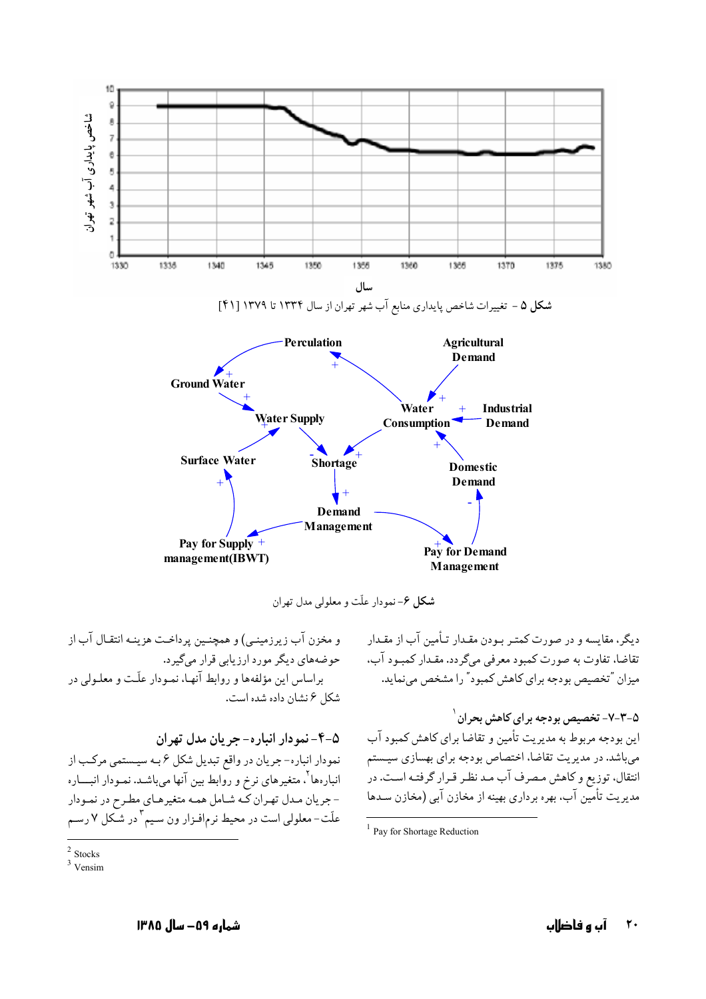

**شکل ۶**-نمودار علّت و معلولی مدل تهران

دیگر، مقایسه و در صورت کمتـر بـودن مقـدار تـأمین آب از مقـدار ۔<br>تقاضا، تفاوت به صورت کمبود معرفی میگردد. مقـدار کمبـود آب، میزان "تخصیص بودجه برای کاهش کمبود" را مشخص می نماید.

### ۵–۳–۷– تخصیص بو دجه بر ای کاهش بحر ان <sup>۱</sup>

این بودجه مربوط به مدیریت تأمین و تقاضا برای کاهش کمبود آب میباشد. در مدیریت تقاضا، اختصاص بودجه برای بهسازی سیـستم انتقال، توزیع و کاهش مصرف آب مـد نظـر قـرار گرفتـه اسـت. در مدیریت تأمین آب، بهره برداری بهینه از مخازن آبی (مخازن سـدها

آب و فاضلاب

 $\mathsf{r}$ .

و مخزن آب زیرزمینـی) و همچنـین پرداخـت هزینـه انتقـال آب از حوضههای دیگر مورد ارزیابی قرار میگیرد. براساس این مؤلفهها و روابط آنهـا، نمـودار علّـت و معلـولی در شكل ۶ نشان داده شده است.

۵–۴– نمو دار انبار ه– جر بان مدل تهران نمودار انباره- جریان در واقع تبدیل شکل ۶ بـه سیـستمی مرکـب از انبارهها<sup>۲</sup>. متغیرهای نرخ و روابط بین آنها میباشـد. نمـودار انبــــاره - جریان مـدل تهـران کـه شـامل همـه متغیرهـای مطـرح در نمـودار علّت-معلولي است در محيط نرم|فـزار ون سـيم ّ در شـكل ٧ رسـم

<sup>&</sup>lt;sup>1</sup> Pay for Shortage Reduction

 $2$  Stocks

 $3$  Vensim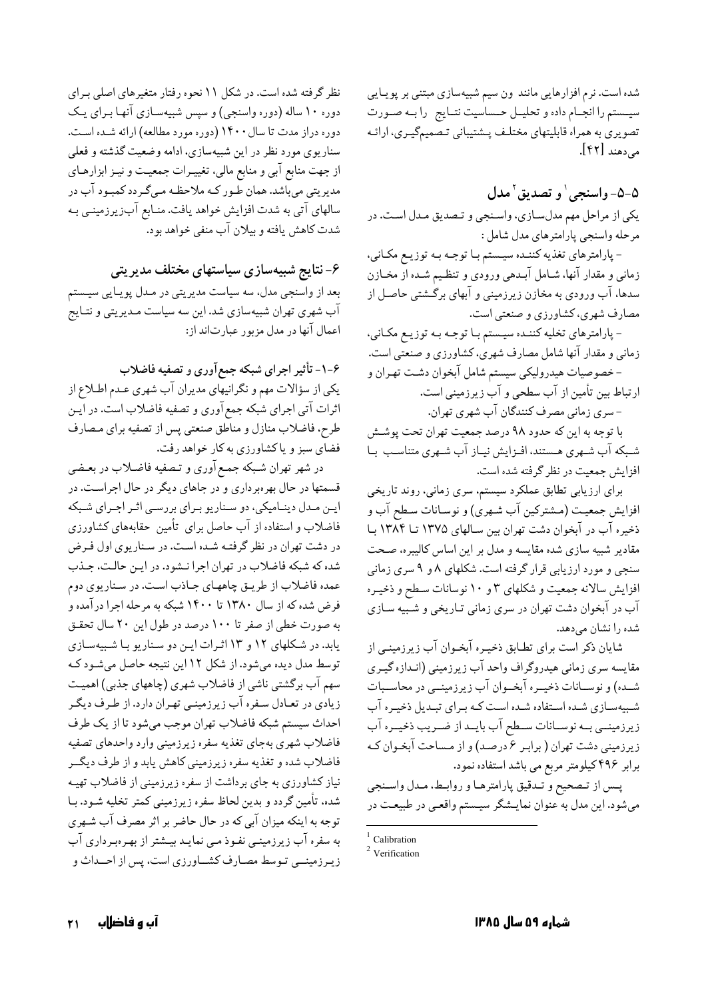شده است. نرم افزارهایی مانند ون سیم شبیهسازی مبتنی بر پویایی سيسستم را انجمام داده و تحليـل حـساسيت نتـايج رابـه صـورت تصویری به همراه قابلیتهای مختلـف پـشتیبانی تـصمیمگیـری، ارائـه می دهند [۴۲].

## ۵-۵- واسنجي وتصديق مدل يکي از مراحل مهم مدلسـازي، واسـنجي و تـصديق مـدل اسـت. در مرحله واسنجى يارامترهاي مدل شامل :

- پارامترهای تغذیه کننـده سیـستم بـا توجـه بـه توزیـع مکـانی، زمانی و مقدار آنها، شــامل آبــدهی ورودی و تنظـیم شــده از مخــازن سدها، آب ورودی به مخازن زیرزمینی و آبهای برگشتی حاصـل از مصارف شهري، كشاورزي و صنعتي است.

- پارامترهای تخلیه کننـده سیـستم بـا توجـه بـه توزیـع مکـانی، زمانی و مقدار آنها شامل مصارف شهری، کشاورزی و صنعتی است. - خصوصیات هیدرولیکی سیستم شامل آبخوان دشت تهـران و

ارتباط بین تأمین از آب سطحی و آب زیرزمینی است.

-سری زمانی مصرف کنندگان آب شهری تهران.

با توجه به این که حدود ۹۸ درصد جمعیت تهران تحت پوشش شبکه آب شـهري هـستند، افـزايش نيـاز آب شـهري متناسـب بـا افزايش جمعيت در نظر گرفته شده است.

برای ارزیابی تطابق عملکرد سیستم، سری زمانی، روند تاریخی افزايش جمعيت (مـشتركين آب شـهري) و نوسـانات سـطح آب و ذخیره آب در آبخوان دشت تهران بین سـالهای ۱۳۷۵ تـا ۱۳۸۴ بـا مقادیر شبیه سازی شده مقایسه و مدل بر این اساس کالیبره، صـحت سنجی و مورد ارزیابی قرار گرفته است. شکلهای ۸ و ۹ سری زمانی افزایش سالانه جمعیت و شکلهای ۳ و ۱۰ نوسانات سطح و ذخیـره آب در آبخوان دشت تهران در سری زمانی تـاریخی و شـبیه سـازی شده را نشان مى دهد.

شایان ذکر است برای تطـابق ذخیـره آبخـوان آب زیرزمینـی از مقایسه سری زمانی هیدروگراف واحد آب زیرزمینی (انـدازه گیـری شـده) و نوسـانات ذخيـره آبخـوان آب زيرزمينــي در محاســبات شبیهسازی شده استفاده شده است که برای تبدیل ذخیره آب زیرزمینـی بـه نوسـانات سـطح آب بایـد از ضـریب ذخیـره آب زیرزمینی دشت تهران ( برابر ۶ درصد) و از مساحت آبخوان ک برابر ۴۹۶کیلومتر مربع می باشد استفاده نمود.

پـس از تـصحيح و تـدقيق پارامترهـا و روابـط، مـدل واسـنجي میشود. این مدل به عنوان نمایـشگر سیـستم واقعـی در طبیعـت در

نظر گرفته شده است. در شکل ۱۱ نحوه رفتار متغیرهای اصلی برای دوره ۱۰ ساله (دوره واسنجي) و سپس شبيهسـازي آنهـا بـراي يـک دوره دراز مدت تا سال ۱۴۰۰ (دوره مورد مطالعه) ارائه شـده اسـت. سناریوی مورد نظر در این شبیهسازی، ادامه وضعیت گذشته و فعلی از جهت منابع آبي و منابع مالي، تغييـرات جمعيـت و نيـز ابزارهـاي مدیریتی میباشد. همان طـور کـه ملاحظـه مـیگـردد کمبـود آب در سالهای آتی به شدت افزایش خواهد یافت. منـابع آبزیرزمینـی بـه شدت كاهش يافته و بيلان آب منفى خواهد بود.

۶- نتایج شبیهسازی سیاستهای مختلف مدیریتی

بعد از واسنجی مدل، سه سیاست مدیریتی در مـدل پویـایی سیـستم آب شهری تهران شبیهسازی شد. این سه سیاست مـدیریتی و نتـایج اعمال آنها در مدل مزبور عبارتاند از:

۶-۱- تأثیر اجرای شبکه جمع آوری و تصفیه فاضلاب یکی از سؤالات مهم و نگرانیهای مدیران آب شهری عـدم اطـلاع از اثرات آتی اجرای شبکه جمع آوری و تصفیه فاضلاب است. در ایـن طرح، فاضلاب منازل و مناطق صنعتبي پس از تصفيه براي مصارف فضای سبز و یاکشاورزی به کار خواهد رفت.

در شهر تهران شبکه جمع آوري و تـصفيه فاضـلاب در بعـضي قسمتها در حال بهرهبرداري و در جاهاي ديگر در حال اجراست. در ايـن مـدل دينـاميكي، دو سـناريو بـراي بررسـي اثـر اجـراي شـبكه فاضلاب و استفاده از آب حاصل برای تأمین حقابههای کشاورزی در دشت تهران در نظر گرفته شده است. در سـناريوي اول فـرض شده که شبکه فاضلاب در تهران اجرا نـشود. در ايـن حالـت، جـذب عمده فاضلاب از طریق چاههای جـاذب اسـت. در سـناریوی دوم فرض شده كه از سال ۱۳۸۰ تا ۱۴۰۰ شبكه به مرحله اجرا درآمده و به صورت خطی از صفر تا ۱۰۰ درصد در طول این ۲۰ سال تحقـق یابد. در شکلهای ۱۲ و ۱۳ اثرات این دو سناریو با شبیهسازی توسط مدل دیده میشود. از شکل ۱۲ این نتیجه حاصل میشود که سهم آب برگشتی ناشی از فاضلاب شهری (چاههای جذبی) اهمیت زیادی در تعـادل سـفره آب زیرزمینـی تهـران دارد. از طـرف دیگـر احداث سيستم شبكه فاضلاب تهران موجب مىشود تا از يك طرف فاضلاب شهري بهجاي تغذيه سفره زيرزميني وارد واحدهاي تصفيه فاضلاب شده و تغذیه سفره زیرزمینی کاهش پابد و از طرف دیگــر نیاز کشاورزی به جای برداشت از سفره زیرزمینی از فاضلاب تهیـه شده، تأمین گردد و بدین لحاظ سفره زیرزمینی کمتر تخلیه شـود. بـا توجه به اینکه میزان آبی که در حال حاضر بر اثر مصرف آب شـهری به سفره آب زیرزمینـی نفـوذ مـی نمایـد بیـشتر از بهـرهبـرداری آب زیرزمینــی تـوسط مصـارف کشــاورزی است، پس از احــداث و

<sup>&</sup>lt;sup>1</sup> Calibration

 $2$  Verification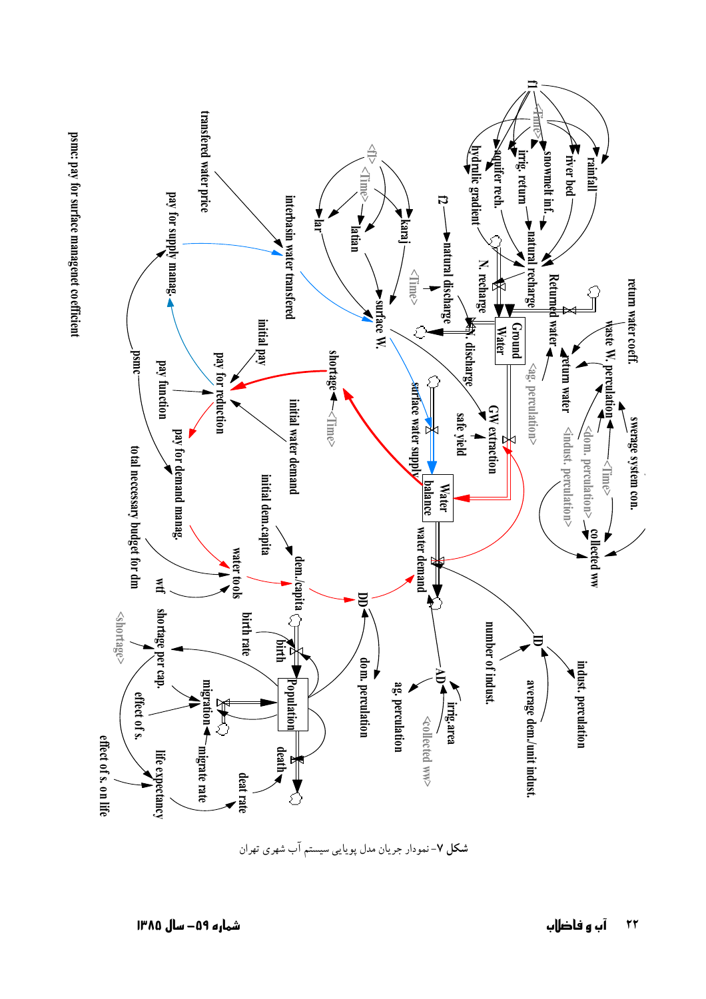

شکل ۷- نمودار جریان مدل پویایی سیستم آب شهری تهران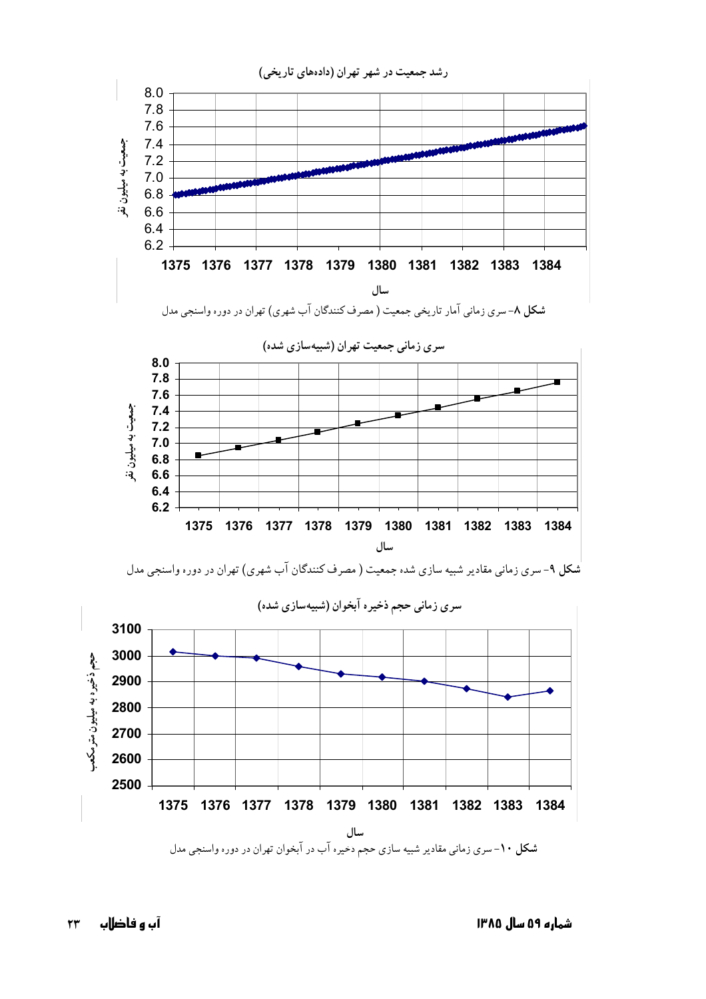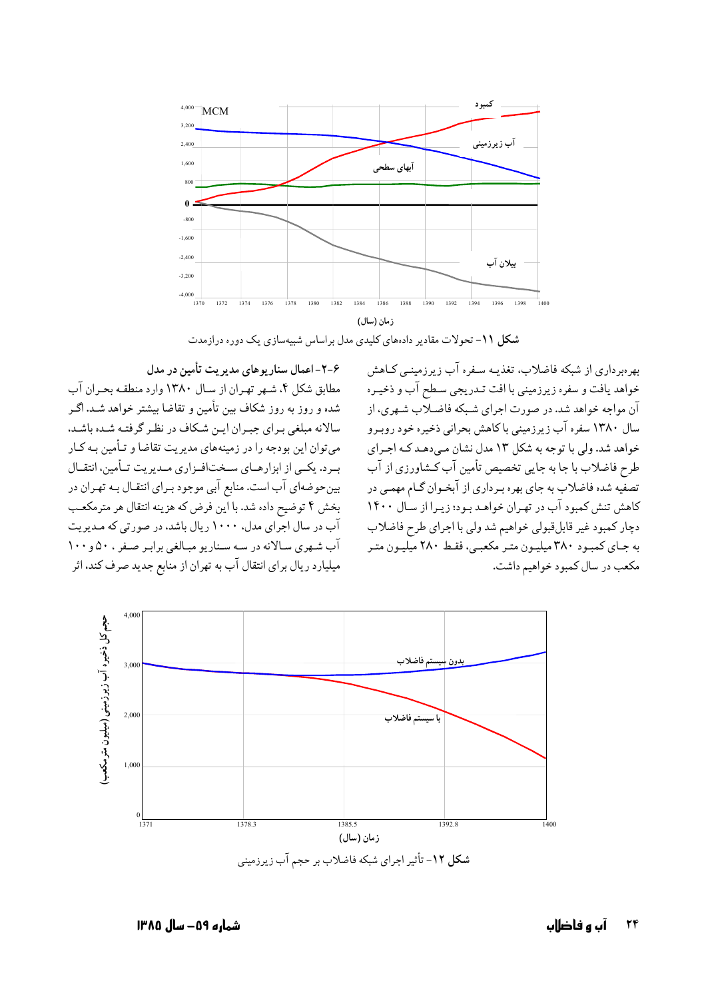

شکل ۱۱- تحولات مقادیر دادههای کلیدی مدل براساس شبیهسازی یک دوره درازمدت

۶–۲–اعمال سناریوهای مدیریت تأمین در مدل مطابق شكل ۴. شـهر تهـران از سـال ۱۳۸۰ وارد منطقـه بحـران آب شده و روز به روز شکاف بین تأمین و تقاضا بیشتر خواهد شـد. اگـر سالانه مبلغي بـراي جبـران ايـن شـكاف در نظـر گرفتـه شـده باشـد. می توان این بودجه را در زمینههای مدیریت تقاضا و تـأمین بـه کـار بیرد. یکسی از ابزارهبای سیختافیزاری میدیریت تــأمین، انتقــال بین حوضهای آب است. منابع آبی موجود بـرای انتقـال بـه تهـران در بخش ۴ توضیح داده شد. با این فرض که هزینه انتقال هر مترمکعب آب در سال اجرای مدل، ۱۰۰۰ ریال باشد، در صورتی که مدیریت آب شهري سالانه در سه سناريو مبالغي برابر صفر ، ۵۰ و ۱۰۰ میلیارد ریال برای انتقال آب به تهران از منابع جدید صرف کند، اثر

بهرهبرداری از شبکه فاضلاب، تغذیـه سـفره آب زیرزمینـی کـاهش خواهد یافت و سفره زیرزمینی با افت تـدریجی سـطح آب و ذخیـره آن مواجه خواهد شد. در صورت اجرای شبکه فاضلاب شبهری، از سال ۱۳۸۰ سفره آب زیرزمینی باکاهش بحرانی ذخیره خود روبـرو خواهد شد. ولي با توجه به شكل ۱۳ مدل نشان مـيدهـد كـه اجـراي طرح فاضلاب با جا به جایی تخصیص تأمین آب کـشاورزی از آب تصفیه شده فاضلاب به جای بهره بـرداری از آبخـوان گـام مهمـی در کاهش تنش کمبود آب در تهران خواهد بود؛ زیرا از سال ۱۴۰۰ دچار كمبود غير قابل قبولي خواهيم شد ولي با اجراي طرح فاضلاب به جـاي كمبـود ٣٨٠ ميليـون متـر مكعبـي، فقـط ٢٨٠ ميليـون متـر مکعب در سال کمبود خواهیم داشت.



شمارہ ۵۹– سال ۱۳۸۵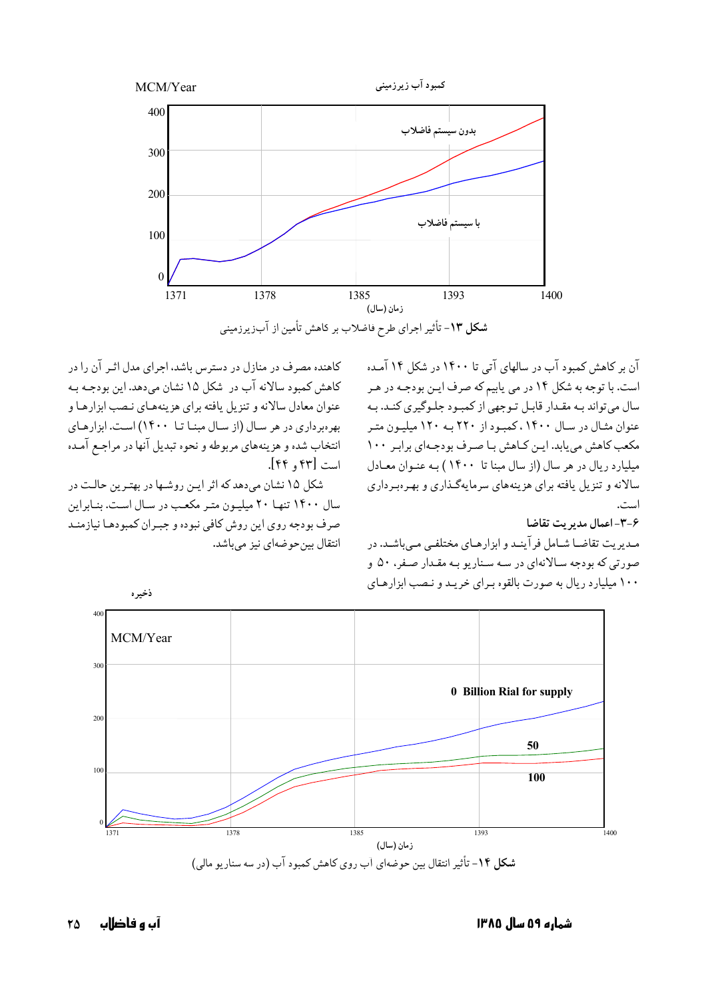

شکل ۱۳- تأثیر اجرای طرح فاضلاب بر کاهش تأمین از آبزیرزمینی

آن بر کاهش کمبود آب در سالهای آتی تا ۱۴۰۰ در شکل ۱۴ آمده است. با توجه به شکل ۱۴ در می یابیم که صرف ایـن بودجـه در هـر سال میتواند بـه مقـدار قابـل تـوجهی از کمبـود جلـوگیری کنـد. بـه عنوان مثـال در سـال ۱۴۰۰، کمبـود از ۲۲۰ بـه ۱۲۰ میلیـون متـر مکعب کاهش می یابد. ایـن کـاهش بـا صـرف بودجـهای برابـر ١٠٠ میلیارد ریال در هر سال (از سال مینا تا ۱۴۰۰) به عنوان معیادل سالانه و تنزیل یافته برای هزینههای سرمایهگذاری و بهرهبرداری است.

۳-۶- اعمال مديريت تقاضا

مـدیریت تقاضـا شـامل فرآینـد و ابزارهـای مختلفـی مـی باشـد. در صورتی که بودجه سالانهای در سه سناریو بـه مقـدار صـفر، ۵۰ و ۱۰۰ میلیارد ریال به صورت بالقوه بیرای خریبد و نیصب ایزارهبای



کاهنده مصرف در منازل در دسترس باشد، اجرای مدل اثـر آن را در كاهش كمبود سالانه آب در شكل ١٥ نشان مي دهد. اين بودجـه بـه عنوان معادل سالانه و تنزیل یافته برای هزینههای نصب ابزارها و بهرهبرداری در هر سال (از سال مبنا تا ۱۴۰۰) است. ابزارهای انتخاب شده و هزینههای مربوطه و نحوه تبدیل آنها در مراجع آمده است [۴۲ و ۴۴].

شکل ۱۵ نشان میدهد که اثر این روشها در بهترین حالت در سال ۱۴۰۰ تنها ۲۰ میلیون متر مکعب در سال است. بنابراین صرف بودجه روى اين روش كافي نبوده و جبـران كمبودهـا نيازمنـد انتقال بين حو ضهاي نيز مي باشد.

شماره ۵۹ سال ۱۳۸۵

آں و فاضلاں 75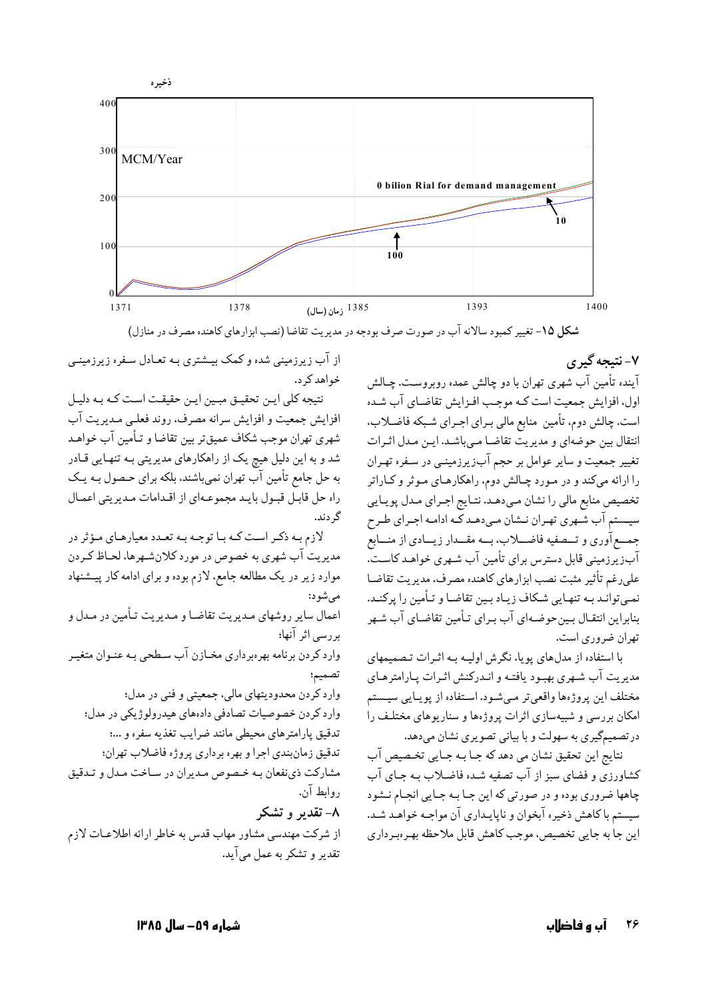

شکل ۱۵- تغییر کمبود سالانه آب در صورت صرف بودجه در مدیریت تقاضا (نصب ابزارهای کاهنده مصرف در منازل)

## ۷- نتيجه گيري

آینده تأمین آب شهری تهران با دو چالش عمده روبروست. چـالش اول، افزایش جمعیت است کـه موجـب افـزایش تقاضـای آب شـده است. چالش دوم، تأمین منابع مالی بـرای اجـرای شـبکه فاضـلاب. انتقال بين حوضهاي و مديريت تقاضا ميباشد. ايـن مـدل اثـرات تغییر جمعیت و سایر عوامل بر حجم آبزیرزمینهی در سفره تهـران را ارائه میکند و در مـورد چـالش دوم، راهکارهـای مـوثر و کـاراتر تخصیص منابع مالی را نشان مبیدهـد. نتـایج اجـرای مـدل پویـایی ۔<br>سیستم آب شـهری تهـران نــشان مـی‹هـدکـه ادامـه اجـرای طـرح جمــع آوري و تــصفيه فاضـــلاب، بـــه مقـــدار زيـــادي از منـــابع آبزیرزمینی قابل دسترس برای تأمین آب شـهری خواهـد کاسـت. على رغم تأثير مثبت نصب ابزارهاي كاهنده مصرف، مديريت تقاضا نمبي توانـد بـه تنهـايي شـكاف زيـاد بـين تقاضـا و تـأمين را پركنـد. بنابراین انتقـال بـینحوضـهای آب بـرای تـأمین تقاضـای آب شـهر تهران ضروري است.

با استفاده از مدلهای یویا، نگرش اولیـه بـه اثـرات تـصمیمهای مديريت آب شـهري بهبـود يافتـه و انـدركنش اثـرات يـارامترهـاي مختلف اين پروژهها واقعي تر مبي شـود. اسـتفاده از يوپيايي سيـستم امکان بررسی و شبیهسازی اثرات پروژهها و سناریوهای مختلـف را در تصمیمگیری به سهولت و با بیانی تصویری نشان میدهد.

نتايج اين تحقيق نشان مي دهد كه جـا بـه جـايي تخـصيص آب کشاورزی و فضای سبز از آب تصفیه شـده فاضـلاب بـه جـای آب چاهها ضروري بوده و در صورتي كه اين جـا بـه جـايي انجـام نـشود سیستم با کاهش ذخیره آبخوان و ناپایـداری آن مواجـه خواهـد شـد. اين جا به جايي تخصيص، موجب كاهش قابل ملاحظه بهـرهبـرداري

از آب زیرزمینی شده و کمک بیـشتری بـه تعـادل سـفره زیرزمینـی خواهد کړ د.

نتيجه كلي ايـن تحقيـق مبـين ايـن حقيقـت اسـت كـه بـه دليـل افزایش جمعیت و افزایش سرانه مصرف، روند فعلـی مـدیریت آب شهري تهران موجب شكاف عميقتر بين تقاضا و تـأمين آب خواهـد شد و به این دلیل هیچ یک از راهکارهای مدیریتی بـه تنهـایی قـادر به حل جامع تأمین آب تهران نمیباشند. بلکه برای حـصول بـه یـک راه حل قابل قبول بايد مجموعهاي از اقدامات مديريتي اعمال گ دند.

لازم بـه ذكـر اسـت كـه بـا توجـه بـه تعـدد معيارهـاي مـؤثر در مدیریت آب شهری به خصوص در مورد کلانشهرها، لحـاظ کـردن موارد زیر در یک مطالعه جامع، لازم بوده و برای ادامه کار پیشنهاد مے شو د: اعمال سایر روشهای مدیریت تقاضا و مدیریت تـأمین در مـدل و بررسی اثر آنها؛ وارد کردن برنامه بهرهبرداری مخـازن آب سـطحی بـه عنـوان متغیـر تصميم؛ وارد کردن محدودیتهای مالی، جمعیتی و فنی در مدل؛ وارد کردن خصوصیات تصادفی دادههای هیدرولوژیکی در مدل؛ تدقیق پارامترهای محیطی مانند ضرایب تغذیه سفره و ...؛ تدقيق زمانبندي اجرا و بهره برداري پروژه فاضلاب تهران؛ مشارکت ذي نفعان بـه خـصوص مـديران در سـاخت مـدل و تـدقيق د وابط آن. ۸- تقدیر و تشکر از شرکت مهندسی مشاور مهاب قدس به خاطر ارائه اطلاعـات لازم

تقدیر و تشکر به عمل میآید.

شمارہ ۵۹– سال ۱۳۸۵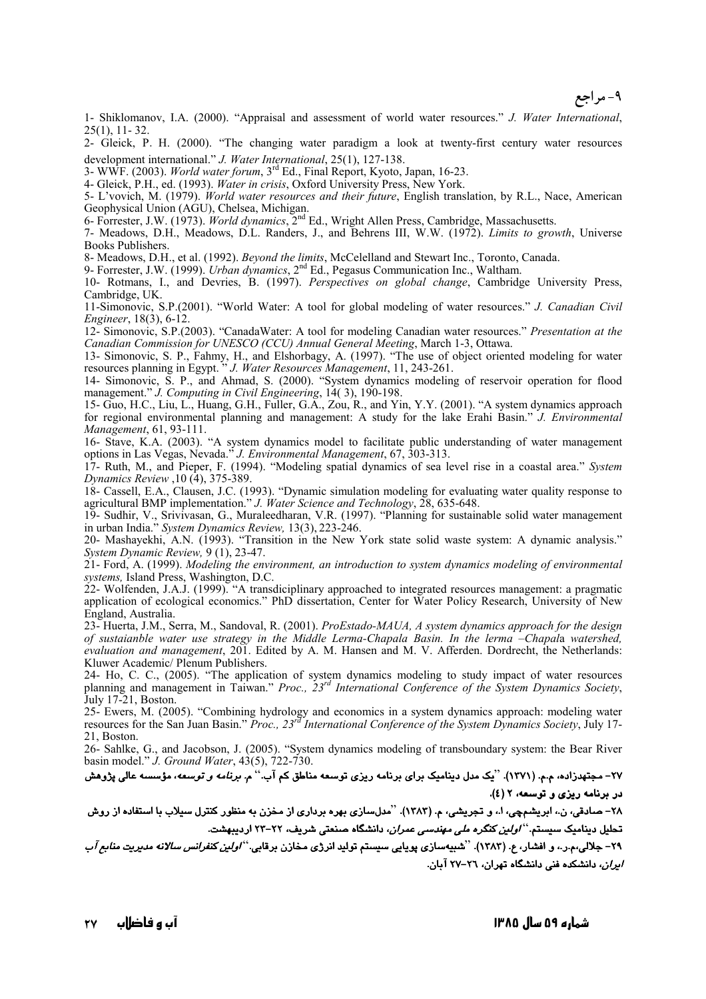**۹- مر اجع** 

1- Shiklomanov, I.A. (2000). "Appraisal and assessment of world water resources." *J. Water International*, 25(1), 11- 32.

2- Gleick, P. H. (2000). "The changing water paradigm a look at twenty-first century water resources development international." *J. Water International*, 25(1), 127-138.

- 3- WWF. (2003). *World water forum*, 3rd Ed., Final Report, Kyoto, Japan, 16-23.
- 4- Gleick, P.H., ed. (1993). *Water in crisis*, Oxford University Press, New York.
- 5- L'vovich, M. (1979). *World water resources and their future*, English translation, by R.L., Nace, American Geophysical Union (AGU), Chelsea, Michigan.
- 6- Forrester, J.W. (1973). *World dynamics*, 2nd Ed., Wright Allen Press, Cambridge, Massachusetts.
- 7- Meadows, D.H., Meadows, D.L. Randers, J., and Behrens III, W.W. (1972). *Limits to growth*, Universe Books Publishers.

8- Meadows, D.H., et al. (1992). *Beyond the limits*, McCelelland and Stewart Inc., Toronto, Canada.

9- Forrester, J.W. (1999). *Urban dynamics*, 2nd Ed., Pegasus Communication Inc., Waltham.

10- Rotmans, I., and Devries, B. (1997). *Perspectives on global change*, Cambridge University Press, Cambridge, UK.

11-Simonovic, S.P.(2001). "World Water: A tool for global modeling of water resources." *J. Canadian Civil Engineer*, 18(3), 6-12.

12- Simonovic, S.P.(2003). "CanadaWater: A tool for modeling Canadian water resources." *Presentation at the Canadian Commission for UNESCO (CCU) Annual General Meeting*, March 1-3, Ottawa.

13- Simonovic, S. P., Fahmy, H., and Elshorbagy, A. (1997). "The use of object oriented modeling for water resources planning in Egypt. " *J. Water Resources Management*, 11, 243-261.

14- Simonovic, S. P., and Ahmad, S. (2000). "System dynamics modeling of reservoir operation for flood management." *J. Computing in Civil Engineering*, 14( 3), 190-198.

15- Guo, H.C., Liu, L., Huang, G.H., Fuller, G.A., Zou, R., and Yin, Y.Y. (2001). "A system dynamics approach for regional environmental planning and management: A study for the lake Erahi Basin." *J. Environmental Management*, 61, 93-111.

16- Stave, K.A. (2003). "A system dynamics model to facilitate public understanding of water management options in Las Vegas, Nevada." *J. Environmental Management*, 67, 303-313.

17- Ruth, M., and Pieper, F. (1994). "Modeling spatial dynamics of sea level rise in a coastal area." *System Dynamics Review* ,10 (4), 375-389.

18- Cassell, E.A., Clausen, J.C. (1993). "Dynamic simulation modeling for evaluating water quality response to agricultural BMP implementation." *J. Water Science and Technology*, 28, 635-648.

19- Sudhir, V., Srivivasan, G., Muraleedharan, V.R. (1997). "Planning for sustainable solid water management in urban India." *System Dynamics Review,* 13(3), 223-246.

20- Mashayekhi, A.N. (1993). "Transition in the New York state solid waste system: A dynamic analysis." *System Dynamic Review,* 9 (1), 23-47.

21- Ford, A. (1999). *Modeling the environment, an introduction to system dynamics modeling of environmental systems,* Island Press, Washington, D.C.

22- Wolfenden, J.A.J. (1999). "A transdiciplinary approached to integrated resources management: a pragmatic application of ecological economics." PhD dissertation, Center for Water Policy Research, University of New England, Australia.

23- Huerta, J.M., Serra, M., Sandoval, R. (2001). *ProEstado-MAUA, A system dynamics approach for the design of sustaianble water use strategy in the Middle Lerma-Chapala Basin. In the lerma –Chapal*a *watershed, evaluation and management*, 201. Edited by A. M. Hansen and M. V. Afferden. Dordrecht, the Netherlands: Kluwer Academic/ Plenum Publishers.

24- Ho, C. C., (2005). "The application of system dynamics modeling to study impact of water resources planning and management in Taiwan." *Proc., 23rd International Conference of the System Dynamics Society*, July 17-21, Boston.

25- Ewers, M. (2005). "Combining hydrology and economics in a system dynamics approach: modeling water resources for the San Juan Basin." *Proc., 23rd International Conference of the System Dynamics Society*, July 17- 21, Boston.

26- Sahlke, G., and Jacobson, J. (2005). "System dynamics modeling of transboundary system: the Bear River basin model." *J. Ground Water*, 43(5), 722-730.

#### ۲۷– مجتهدزاده، م.م. (۱۳۷۱). <sup>"</sup>یک مدل دینامیک برای برنامه ریزی توسعه مناطق کم آب.<sup>"</sup> م*. برنامه و توسعه*، مؤسسه عالی پژوهش در برنامه ریزی و توسعه، ۲ (٤).

۲۸– صادقی، ن.، ابریشمچی، ا.، و تجریشی، م. (۱۳۸۳). ''مدلسازی بهره برداری از مخزن به منظور کنترل سیلاب با استفاده از روش تحلیل دینامیک سیستم.<sup>.</sup>' *اولین کنگره ملی مهندسی عمران،* دانشگاه صنعتی شریف، ۲۲–۲۳ اردیبهشت.

۲۹– جلالی،م.ر.، و افشار، ع. (۱۳۸۳). ''شبیهسازی پویایی سیستم تولید انرژی مخازن برقابی.'' *اولین کنفرانس سالانه مدیریت منابع آ*ب *ایران،* دانشکده فنی دانشگاه تهران، ۲٦–۲۷ ابان.